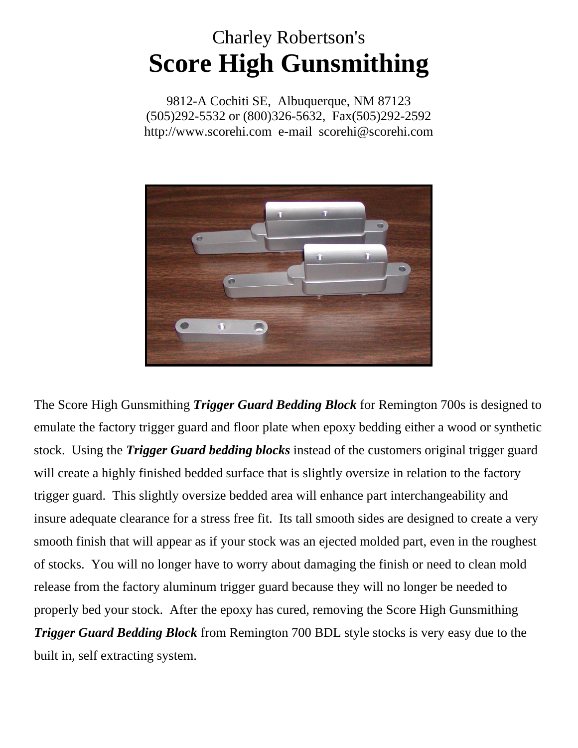## Charley Robertson's **Score High Gunsmithing**

9812-A Cochiti SE, Albuquerque, NM 87123 (505)292-5532 or (800)326-5632, Fax(505)292-2592 http://www.scorehi.com e-mail scorehi@scorehi.com



The Score High Gunsmithing *Trigger Guard Bedding Block* for Remington 700s is designed to emulate the factory trigger guard and floor plate when epoxy bedding either a wood or synthetic stock. Using the *Trigger Guard bedding blocks* instead of the customers original trigger guard will create a highly finished bedded surface that is slightly oversize in relation to the factory trigger guard. This slightly oversize bedded area will enhance part interchangeability and insure adequate clearance for a stress free fit. Its tall smooth sides are designed to create a very smooth finish that will appear as if your stock was an ejected molded part, even in the roughest of stocks. You will no longer have to worry about damaging the finish or need to clean mold release from the factory aluminum trigger guard because they will no longer be needed to properly bed your stock. After the epoxy has cured, removing the Score High Gunsmithing *Trigger Guard Bedding Block* from Remington 700 BDL style stocks is very easy due to the built in, self extracting system.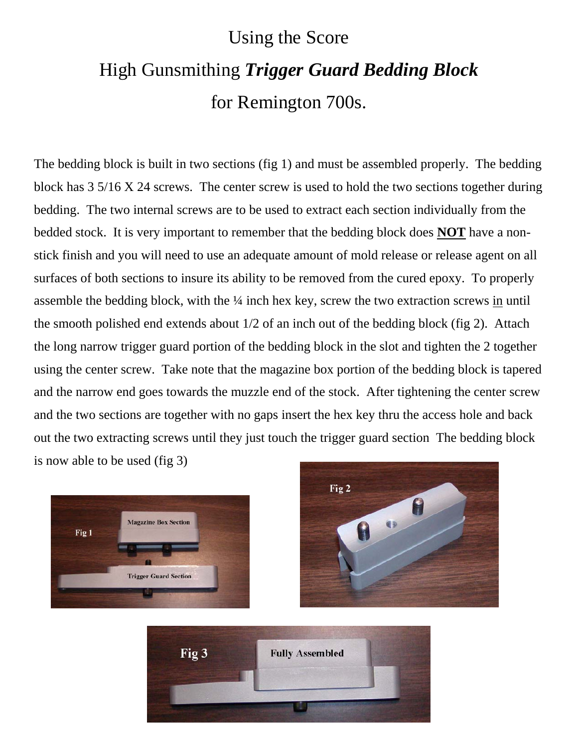## Using the Score High Gunsmithing *Trigger Guard Bedding Block*  for Remington 700s.

The bedding block is built in two sections (fig 1) and must be assembled properly. The bedding block has 3 5/16 X 24 screws. The center screw is used to hold the two sections together during bedding. The two internal screws are to be used to extract each section individually from the bedded stock. It is very important to remember that the bedding block does **NOT** have a nonstick finish and you will need to use an adequate amount of mold release or release agent on all surfaces of both sections to insure its ability to be removed from the cured epoxy. To properly assemble the bedding block, with the ¼ inch hex key, screw the two extraction screws in until the smooth polished end extends about 1/2 of an inch out of the bedding block (fig 2). Attach the long narrow trigger guard portion of the bedding block in the slot and tighten the 2 together using the center screw. Take note that the magazine box portion of the bedding block is tapered and the narrow end goes towards the muzzle end of the stock. After tightening the center screw and the two sections are together with no gaps insert the hex key thru the access hole and back out the two extracting screws until they just touch the trigger guard section The bedding block is now able to be used (fig 3)





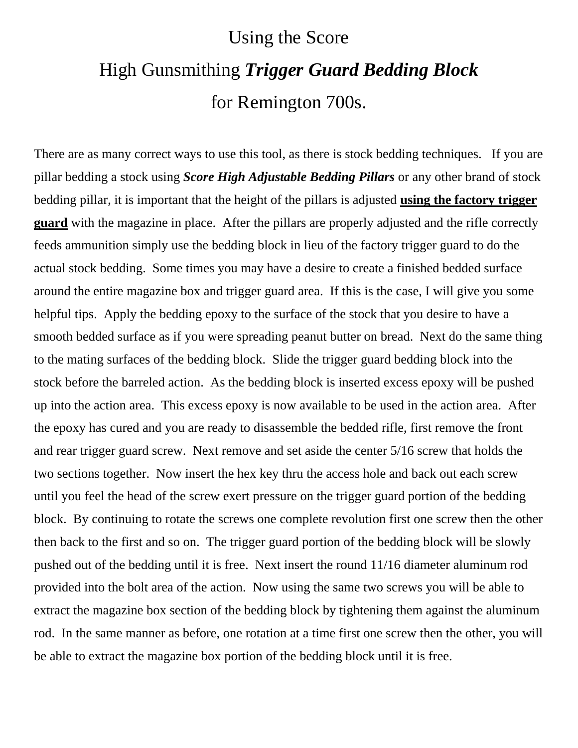## Using the Score High Gunsmithing *Trigger Guard Bedding Block*  for Remington 700s.

There are as many correct ways to use this tool, as there is stock bedding techniques. If you are pillar bedding a stock using *Score High Adjustable Bedding Pillars* or any other brand of stock bedding pillar, it is important that the height of the pillars is adjusted **using the factory trigger guard** with the magazine in place. After the pillars are properly adjusted and the rifle correctly feeds ammunition simply use the bedding block in lieu of the factory trigger guard to do the actual stock bedding. Some times you may have a desire to create a finished bedded surface around the entire magazine box and trigger guard area. If this is the case, I will give you some helpful tips. Apply the bedding epoxy to the surface of the stock that you desire to have a smooth bedded surface as if you were spreading peanut butter on bread. Next do the same thing to the mating surfaces of the bedding block. Slide the trigger guard bedding block into the stock before the barreled action. As the bedding block is inserted excess epoxy will be pushed up into the action area. This excess epoxy is now available to be used in the action area. After the epoxy has cured and you are ready to disassemble the bedded rifle, first remove the front and rear trigger guard screw. Next remove and set aside the center 5/16 screw that holds the two sections together. Now insert the hex key thru the access hole and back out each screw until you feel the head of the screw exert pressure on the trigger guard portion of the bedding block. By continuing to rotate the screws one complete revolution first one screw then the other then back to the first and so on. The trigger guard portion of the bedding block will be slowly pushed out of the bedding until it is free. Next insert the round 11/16 diameter aluminum rod provided into the bolt area of the action. Now using the same two screws you will be able to extract the magazine box section of the bedding block by tightening them against the aluminum rod. In the same manner as before, one rotation at a time first one screw then the other, you will be able to extract the magazine box portion of the bedding block until it is free.